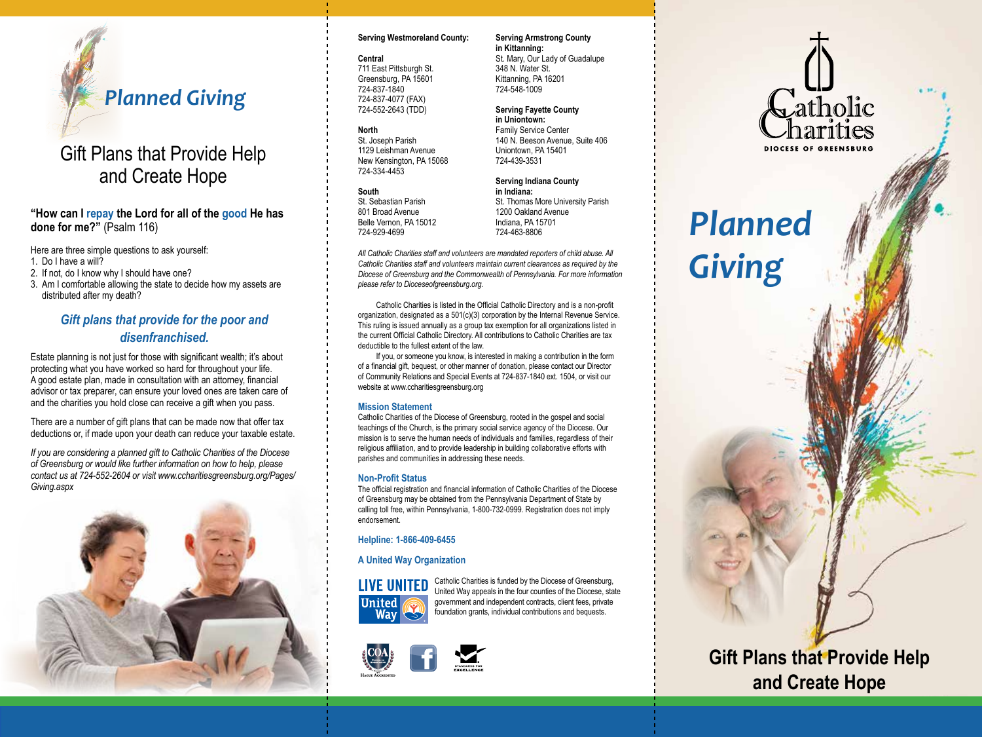

## Gift Plans that Provide Help and Create Hope

**"How can I repay the Lord for all of the good He has done for me?"** (Psalm 116)

Here are three simple questions to ask yourself:

- 1. Do I have a will?
- 2. If not, do I know why I should have one?
- 3. Am I comfortable allowing the state to decide how my assets are distributed after my death?

## *Gift plans that provide for the poor and disenfranchised.*

Estate planning is not just for those with significant wealth; it's about protecting what you have worked so hard for throughout your life. A good estate plan, made in consultation with an attorney, financial advisor or tax preparer, can ensure your loved ones are taken care of and the charities you hold close can receive a gift when you pass.

There are a number of gift plans that can be made now that offer tax deductions or, if made upon your death can reduce your taxable estate.

*If you are considering a planned gift to Catholic Charities of the Diocese of Greensburg or would like further information on how to help, please contact us at 724-552-2604 or visit www.ccharitiesgreensburg.org/Pages/ Giving.aspx*



#### **Serving Westmoreland County:**

#### **Central**

711 East Pittsburgh St. Greensburg, PA 15601 724-837-1840 724-837-4077 (FAX) 724-552-2643 (TDD)

#### **North**

St. Joseph Parish 1129 Leishman Avenue New Kensington, PA 15068 724-334-4453

#### **South**

St. Sebastian Parish 801 Broad Avenue Belle Vernon, PA 15012 724-929-4699

**in Indiana:** St. Thomas More University Parish 1200 Oakland Avenue Indiana, PA 15701 724-463-8806

*All Catholic Charities staff and volunteers are mandated reporters of child abuse. All Catholic Charities staff and volunteers maintain current clearances as required by the Diocese of Greensburg and the Commonwealth of Pennsylvania. For more information please refer to Dioceseofgreensburg.org.*

Catholic Charities is listed in the Official Catholic Directory and is a non-profit organization, designated as a 501(c)(3) corporation by the Internal Revenue Service. This ruling is issued annually as a group tax exemption for all organizations listed in the current Official Catholic Directory. All contributions to Catholic Charities are tax deductible to the fullest extent of the law.

If you, or someone you know, is interested in making a contribution in the form of a financial gift, bequest, or other manner of donation, please contact our Director of Community Relations and Special Events at 724-837-1840 ext. 1504, or visit our website at www.ccharitiesgreensburg.org

## **Mission Statement**

Catholic Charities of the Diocese of Greensburg, rooted in the gospel and social teachings of the Church, is the primary social service agency of the Diocese. Our mission is to serve the human needs of individuals and families, regardless of their religious affiliation, and to provide leadership in building collaborative efforts with parishes and communities in addressing these needs.

## **Non-Profit Status**

The official registration and financial information of Catholic Charities of the Diocese of Greensburg may be obtained from the Pennsylvania Department of State by calling toll free, within Pennsylvania, 1-800-732-0999. Registration does not imply endorsement.

## **Helpline: 1-866-409-6455**

## **A United Way Organization**



Catholic Charities is funded by the Diocese of Greensburg, United Way appeals in the four counties of the Diocese, state government and independent contracts, client fees, private foundation grants, individual contributions and bequests.



#### **Serving Armstrong County in Kittanning:**

St. Mary, Our Lady of Guadalupe 348 N. Water St. Kittanning, PA 16201 724-548-1009

#### **Serving Fayette County in Uniontown:**

Family Service Center 140 N. Beeson Avenue, Suite 406 Uniontown, PA 15401 724-439-3531

**Serving Indiana County**

*Planned Giving*

# **Gift Plans that Provide Help and Create Hope**

Gatholic

**DIOCESE OF GREENSBURG**